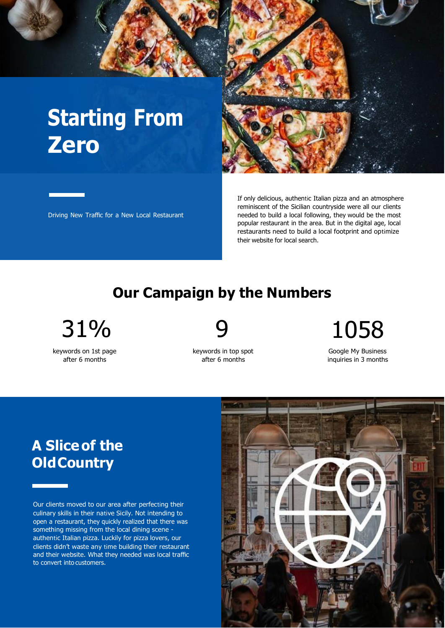# **Starting From Zero**



Driving New Traffic for a New Local Restaurant

If only delicious, authentic Italian pizza and an atmosphere reminiscent of the Sicilian countryside were all our clients needed to build a local following, they would be the most popular restaurant in the area. But in the digital age, local restaurants need to build a local footprint and optimize their website for local search.

#### **Our Campaign by the Numbers**

31% 9 1058

keywords on 1st page after 6 months

keywords in top spot after 6 months

Google My Business inquiries in 3 months

# **A Sliceof the OldCountry**

Our clients moved to our area after perfecting their culinary skills in their native Sicily. Not intending to open a restaurant, they quickly realized that there was something missing from the local dining scene authentic Italian pizza. Luckily for pizza lovers, our clients didn't waste any time building their restaurant and their website. What they needed was local traffic to convert into customers.

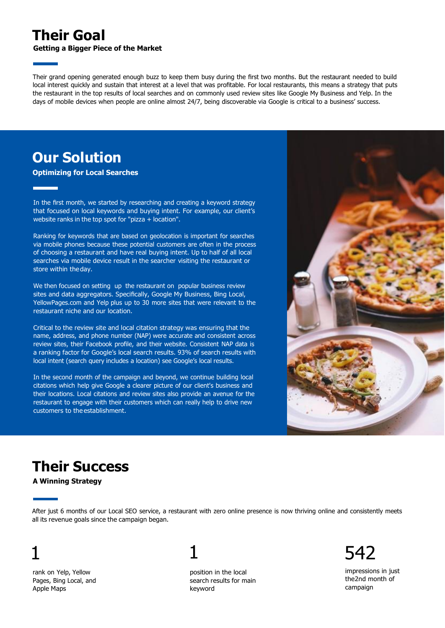#### **Their Goal**

**Getting a Bigger Piece of the Market**

Their grand opening generated enough buzz to keep them busy during the first two months. But the restaurant needed to build local interest quickly and sustain that interest at a level that was profitable. For local restaurants, this means a strategy that puts the restaurant in the top results of local searches and on commonly used review sites like Google My Business and Yelp. In the days of mobile devices when people are online almost 24/7, being discoverable via Google is critical to a business' success.

#### **Our Solution**

**Optimizing for Local Searches**

In the first month, we started by researching and creating a keyword strategy that focused on local keywords and buying intent. For example, our client's website ranks in the top spot for "pizza + location".

Ranking for keywords that are based on geolocation is important for searches via mobile phones because these potential customers are often in the process of choosing a restaurant and have real buying intent. Up to half of all local searches via mobile device result in the searcher visiting the restaurant or store within theday.

We then focused on setting up the restaurant on popular business review sites and data aggregators. Specifically, Google My Business, Bing Local, YellowPages.com and Yelp plus up to 30 more sites that were relevant to the restaurant niche and our location.

Critical to the review site and local citation strategy was ensuring that the name, address, and phone number (NAP) were accurate and consistent across review sites, their Facebook profile, and their website. Consistent NAP data is a ranking factor for Google's local search results. 93% of search results with local intent (search query includes a location) see Google's local results.

In the second month of the campaign and beyond, we continue building local citations which help give Google a clearer picture of our client's business and their locations. Local citations and review sites also provide an avenue for the restaurant to engage with their customers which can really help to drive new customers to the establishment.



# **Their Success**

**A Winning Strategy**

After just 6 months of our Local SEO service, a restaurant with zero online presence is now thriving online and consistently meets all its revenue goals since the campaign began.

1

# 1

rank on Yelp, Yellow Pages, Bing Local, and Apple Maps

position in the local search results for main keyword

542

impressions in just the 2nd month of campaign